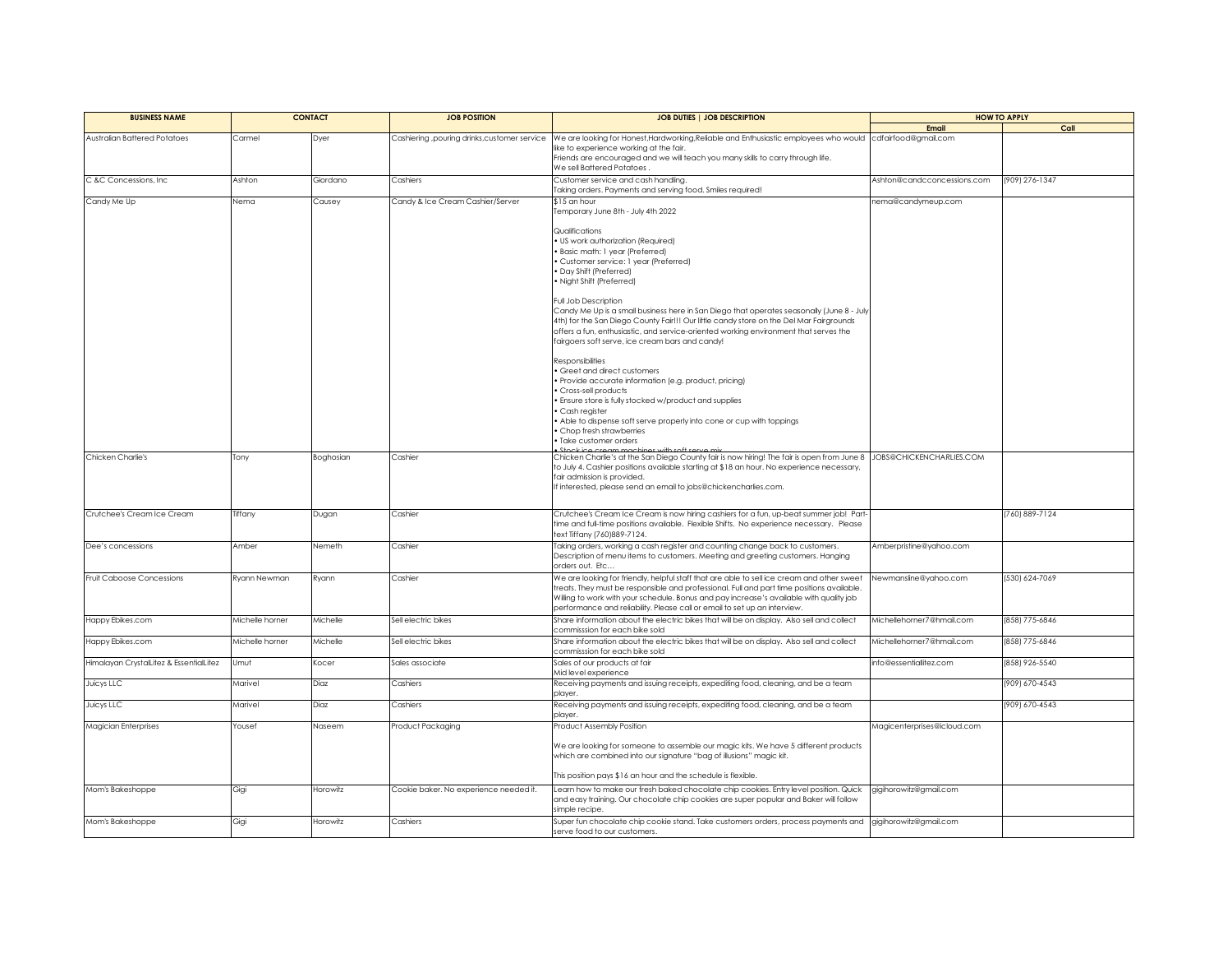| <b>BUSINESS NAME</b>                    | <b>CONTACT</b>  |           | <b>JOB POSITION</b>                         | <b>JOB DUTIES   JOB DESCRIPTION</b>                                                                                                                                                                                                                                                                                                                              | <b>HOW TO APPLY</b>         |                |
|-----------------------------------------|-----------------|-----------|---------------------------------------------|------------------------------------------------------------------------------------------------------------------------------------------------------------------------------------------------------------------------------------------------------------------------------------------------------------------------------------------------------------------|-----------------------------|----------------|
|                                         |                 |           |                                             |                                                                                                                                                                                                                                                                                                                                                                  | Email                       | Call           |
| Australian Battered Potatoes            | Carmel          | Dyer      | Cashiering ,pouring drinks,customer service | We are looking for Honest, Hardworking, Reliable and Enthusiastic employees who would cdfairfood@gmail.com<br>like to experience working at the fair.<br>Friends are encouraged and we will teach you many skills to carry through life.                                                                                                                         |                             |                |
|                                         |                 |           |                                             | We sell Battered Potatoes.                                                                                                                                                                                                                                                                                                                                       |                             |                |
| C &C Concessions, Inc.                  | Ashton          | Giordano  | Cashiers                                    | Customer service and cash handling.<br>aking orders. Payments and serving food. Smiles required!                                                                                                                                                                                                                                                                 | Ashton@candcconcessions.com | (909) 276-1347 |
| Candy Me Up                             | Nema            | Causey    | Candy & Ice Cream Cashier/Server            | \$15 an hour<br>Temporary June 8th - July 4th 2022                                                                                                                                                                                                                                                                                                               | nema@candymeup.com          |                |
|                                         |                 |           |                                             | Qualifications<br>· US work authorization (Required)<br>· Basic math: 1 year (Preferred)<br>Customer service: 1 year (Preferred)<br>Day Shift (Preferred)<br>Night Shift (Preferred)                                                                                                                                                                             |                             |                |
|                                         |                 |           |                                             | Full Job Description<br>Candy Me Up is a small business here in San Diego that operates seasonally (June 8 - July<br>4th) for the San Diego County Fair!!! Our little candy store on the Del Mar Fairgrounds<br>offers a fun, enthusiastic, and service-oriented working environment that serves the<br>fairgoers soft serve, ice cream bars and candy!          |                             |                |
|                                         |                 |           |                                             | <b>Responsibilities</b><br>Greet and direct customers<br>Provide accurate information (e.g. product, pricing)<br>Cross-sell products<br>Ensure store is fully stocked w/product and supplies<br>Cash reaister<br>Able to dispense soft serve properly into cone or cup with toppings<br>Chop fresh strawberries<br>Take customer orders                          |                             |                |
| Chicken Charlie's                       | Tony            | Boghosian | Cashier                                     | Chicken Charlie's at the San Diego County fair is now hiring! The fair is open from June 8 JOBS@CHICKENCHARLIES.COM<br>to July 4. Cashier positions available starting at \$18 an hour. No experience necessary,<br>fair admission is provided.<br>If interested, please send an email to jobs@chickencharlies.com.                                              |                             |                |
| Crutchee's Cream Ice Cream              | Tiffany         | Dugan     | Cashier                                     | Crutchee's Cream Ice Cream is now hiring cashiers for a fun, up-beat summer job! Part<br>time and full-time positions available. Flexible Shifts. No experience necessary. Please<br>text Tiffany (760)889-7124.                                                                                                                                                 |                             | (760) 889-7124 |
| Dee's concessions                       | Amber           | Nemeth    | Cashier                                     | laking orders, working a cash register and counting change back to customers.<br>Description of menu items to customers. Meeting and greeting customers. Hanging<br>prders out. Etc                                                                                                                                                                              | Amberpristine@yahoo.com     |                |
| Fruit Caboose Concessions               | Ryann Newman    | Ryann     | Cashier                                     | We are looking for friendly, helpful staff that are able to sell ice cream and other sweet<br>treats. They must be responsible and professional. Full and part time positions available.<br>Willing to work with your schedule. Bonus and pay increase's available with quality job<br>performance and reliability. Please call or email to set up an interview. | Newmansline@yahoo.com       | (530) 624-7069 |
| Happy Ebikes.com                        | Michelle horner | Michelle  | Sell electric bikes                         | Share information about the electric bikes that will be on display. Also sell and collect<br>commisssion for each bike sold                                                                                                                                                                                                                                      | Michellehorner7@hmail.com   | (858) 775-6846 |
| Happy Ebikes.com                        | Michelle horner | Michelle  | Sell electric bikes                         | Share information about the electric bikes that will be on display. Also sell and collect<br>commisssion for each bike sold                                                                                                                                                                                                                                      | Michellehorner7@hmail.com   | (858) 775-6846 |
| Himalayan CrystalLitez & EssentialLitez | Umut            | Kocer     | Sales associate                             | Sales of our products at fair<br>vid level experience                                                                                                                                                                                                                                                                                                            | info@essentiallitez.com     | (858) 926-5540 |
| Juicys LLC                              | Marivel         | Diaz      | Cashiers                                    | Receiving payments and issuing receipts, expediting food, cleaning, and be a team<br>player.                                                                                                                                                                                                                                                                     |                             | (909) 670-4543 |
| Juicys LLC                              | Marivel         | Diaz      | Cashiers                                    | Receiving payments and issuing receipts, expediting food, cleaning, and be a team<br>plaver.                                                                                                                                                                                                                                                                     |                             | (909) 670-4543 |
| Magician Enterprises                    | Yousef          | Naseem    | Product Packaging                           | Product Assembly Position<br>We are looking for someone to assemble our magic kits. We have 5 different products<br>which are combined into our signature "bag of illusions" magic kit.<br>This position pays \$16 an hour and the schedule is flexible.                                                                                                         | Magicenterprises@icloud.com |                |
| Mom's Bakeshoppe                        | Gigi            | Horowitz  | Cookie baker. No experience needed it.      | earn how to make our fresh baked chocolate chip cookies. Entry level position, Quick<br>and easy training. Our chocolate chip cookies are super popular and Baker will follow<br>simple recipe.                                                                                                                                                                  | gigihorowitz@gmail.com      |                |
| Mom's Bakeshoppe                        | Gigi            | Horowitz  | Cashiers                                    | Super fun chocolate chip cookie stand. Take customers orders, process payments and gigihorowitz@gmail.com<br>serve food to our customers.                                                                                                                                                                                                                        |                             |                |